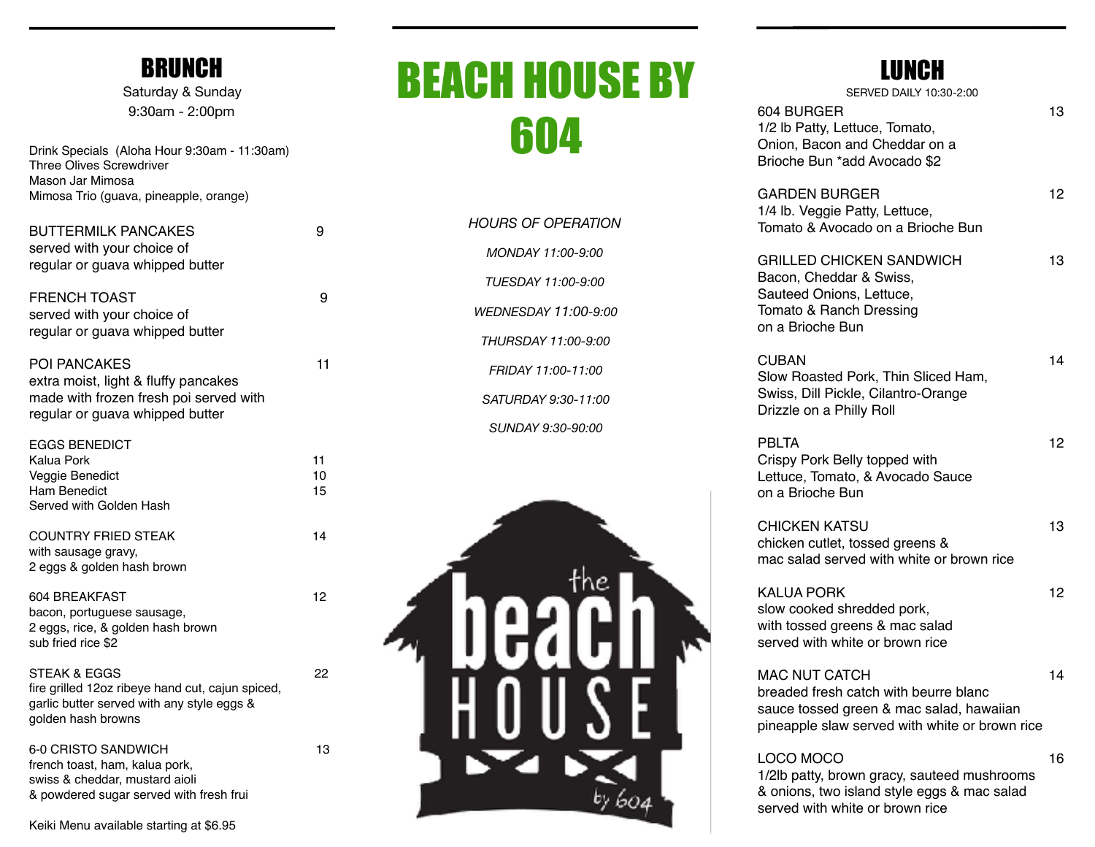#### BRUNCH

Saturday & Sunday 9:30am - 2:00pm

| Drink Specials (Aloha Hour 9:30am - 11:30am) |  |  |  |  |
|----------------------------------------------|--|--|--|--|
| <b>Three Olives Screwdriver</b>              |  |  |  |  |
| Mason Jar Mimosa                             |  |  |  |  |
| Mimosa Trio (quava, pineapple, orange)       |  |  |  |  |

| <b>BUTTERMILK PANCAKES</b><br>served with your choice of<br>regular or guava whipped butter                                                     | 9              |
|-------------------------------------------------------------------------------------------------------------------------------------------------|----------------|
| <b>FRENCH TOAST</b><br>served with your choice of<br>regular or guava whipped butter                                                            | 9              |
| <b>POI PANCAKES</b><br>extra moist, light & fluffy pancakes<br>made with frozen fresh poi served with<br>regular or guava whipped butter        | 11             |
| <b>EGGS BENEDICT</b><br><b>Kalua Pork</b><br>Veggie Benedict<br><b>Ham Benedict</b><br>Served with Golden Hash                                  | 11<br>10<br>15 |
| <b>COUNTRY FRIED STEAK</b><br>with sausage gravy,<br>2 eggs & golden hash brown                                                                 | 14             |
| 604 BREAKFAST<br>bacon, portuguese sausage,<br>2 eggs, rice, & golden hash brown<br>sub fried rice \$2                                          | 12             |
| <b>STEAK &amp; EGGS</b><br>fire grilled 12oz ribeye hand cut, cajun spiced,<br>garlic butter served with any style eggs &<br>golden hash browns | 22             |
| 6-0 CRISTO SANDWICH<br>french toast, ham, kalua pork,<br>swiss & cheddar, mustard aioli<br>& powdered sugar served with fresh frui              | 13             |

# BEACH HOUSE BY 604

| HOURS OF OPFRATION          |
|-----------------------------|
| MONDAY 11:00-9:00           |
| TUESDAY 11:00-9:00          |
| <i>WFDNFSDAY 11:00-9:00</i> |
| THURSDAY 11:00-9:00         |
| FRIDAY 11:00-11:00          |
| SATURDAY 9:30-11:00         |
| SUNDAY 9:30-90:00           |
|                             |



### **LUNOU**

| lunun<br>SERVED DAILY 10:30-2:00                                                                                                                            |    |
|-------------------------------------------------------------------------------------------------------------------------------------------------------------|----|
| 604 BURGER<br>1/2 lb Patty, Lettuce, Tomato,<br>Onion, Bacon and Cheddar on a<br>Brioche Bun *add Avocado \$2                                               | 13 |
| GARDEN BURGER<br>1/4 lb. Veggie Patty, Lettuce,<br>Tomato & Avocado on a Brioche Bun                                                                        | 12 |
| <b>GRILLED CHICKEN SANDWICH</b><br>Bacon, Cheddar & Swiss,<br>Sauteed Onions, Lettuce,<br>Tomato & Ranch Dressing<br>on a Brioche Bun                       | 13 |
| CUBAN<br>Slow Roasted Pork, Thin Sliced Ham,<br>Swiss, Dill Pickle, Cilantro-Orange<br>Drizzle on a Philly Roll                                             | 14 |
| <b>PBLTA</b><br>Crispy Pork Belly topped with<br>Lettuce, Tomato, & Avocado Sauce<br>on a Brioche Bun                                                       | 12 |
| CHICKEN KATSU<br>chicken cutlet, tossed greens &<br>mac salad served with white or brown rice                                                               | 13 |
| <b>KALUA PORK</b><br>slow cooked shredded pork,<br>with tossed greens & mac salad<br>served with white or brown rice                                        | 12 |
| <b>MAC NUT CATCH</b><br>breaded fresh catch with beurre blanc<br>sauce tossed green & mac salad, hawaiian<br>pineapple slaw served with white or brown rice | 14 |
| LOCO MOCO<br>1/2lb patty, brown gracy, sauteed mushrooms                                                                                                    | 16 |

& onions, two island style eggs & mac salad

served with white or brown rice

Keiki Menu available starting at \$6.95